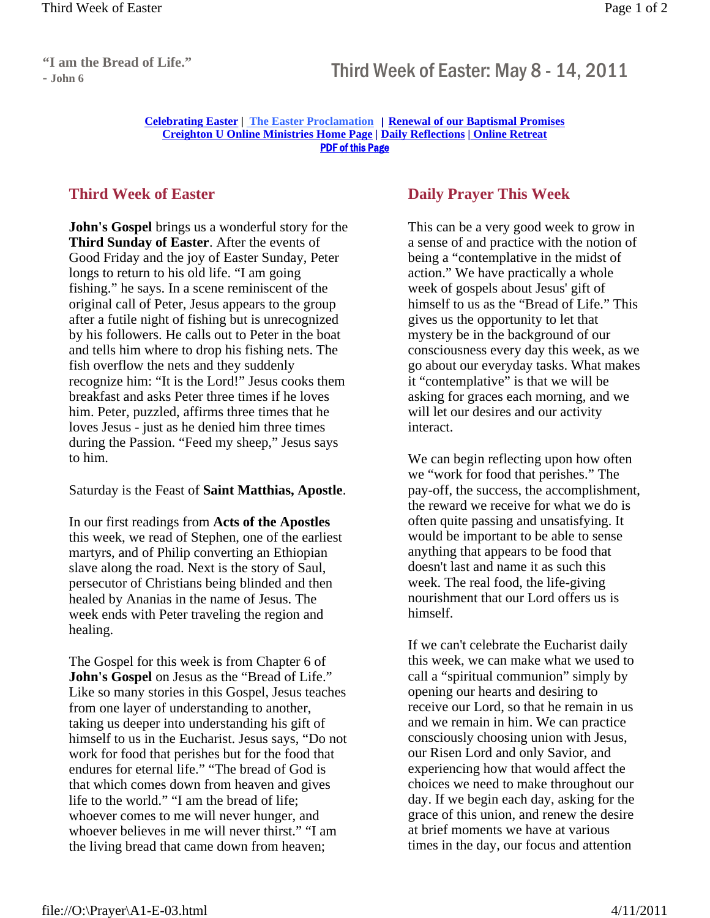## **Franchise Bread of Ene.** Third Week of Easter: May 8 - 14, 2011

## **Celebrating Easter | The Easter Proclamation** | **Renewal of our Baptismal Promises Creighton U Online Ministries Home Page | Daily Reflections | Online Retreat** PDF of this Page

## **Third Week of Easter**

**John's Gospel** brings us a wonderful story for the **Third Sunday of Easter**. After the events of Good Friday and the joy of Easter Sunday, Peter longs to return to his old life. "I am going fishing." he says. In a scene reminiscent of the original call of Peter, Jesus appears to the group after a futile night of fishing but is unrecognized by his followers. He calls out to Peter in the boat and tells him where to drop his fishing nets. The fish overflow the nets and they suddenly recognize him: "It is the Lord!" Jesus cooks them breakfast and asks Peter three times if he loves him. Peter, puzzled, affirms three times that he loves Jesus - just as he denied him three times during the Passion. "Feed my sheep," Jesus says to him.

Saturday is the Feast of **Saint Matthias, Apostle**.

In our first readings from **Acts of the Apostles** this week, we read of Stephen, one of the earliest martyrs, and of Philip converting an Ethiopian slave along the road. Next is the story of Saul, persecutor of Christians being blinded and then healed by Ananias in the name of Jesus. The week ends with Peter traveling the region and healing.

The Gospel for this week is from Chapter 6 of **John's Gospel** on Jesus as the "Bread of Life." Like so many stories in this Gospel, Jesus teaches from one layer of understanding to another, taking us deeper into understanding his gift of himself to us in the Eucharist. Jesus says, "Do not work for food that perishes but for the food that endures for eternal life." "The bread of God is that which comes down from heaven and gives life to the world." "I am the bread of life; whoever comes to me will never hunger, and whoever believes in me will never thirst." "I am the living bread that came down from heaven;

## **Daily Prayer This Week**

This can be a very good week to grow in a sense of and practice with the notion of being a "contemplative in the midst of action." We have practically a whole week of gospels about Jesus' gift of himself to us as the "Bread of Life." This gives us the opportunity to let that mystery be in the background of our consciousness every day this week, as we go about our everyday tasks. What makes it "contemplative" is that we will be asking for graces each morning, and we will let our desires and our activity interact.

We can begin reflecting upon how often we "work for food that perishes." The pay-off, the success, the accomplishment, the reward we receive for what we do is often quite passing and unsatisfying. It would be important to be able to sense anything that appears to be food that doesn't last and name it as such this week. The real food, the life-giving nourishment that our Lord offers us is himself.

If we can't celebrate the Eucharist daily this week, we can make what we used to call a "spiritual communion" simply by opening our hearts and desiring to receive our Lord, so that he remain in us and we remain in him. We can practice consciously choosing union with Jesus, our Risen Lord and only Savior, and experiencing how that would affect the choices we need to make throughout our day. If we begin each day, asking for the grace of this union, and renew the desire at brief moments we have at various times in the day, our focus and attention